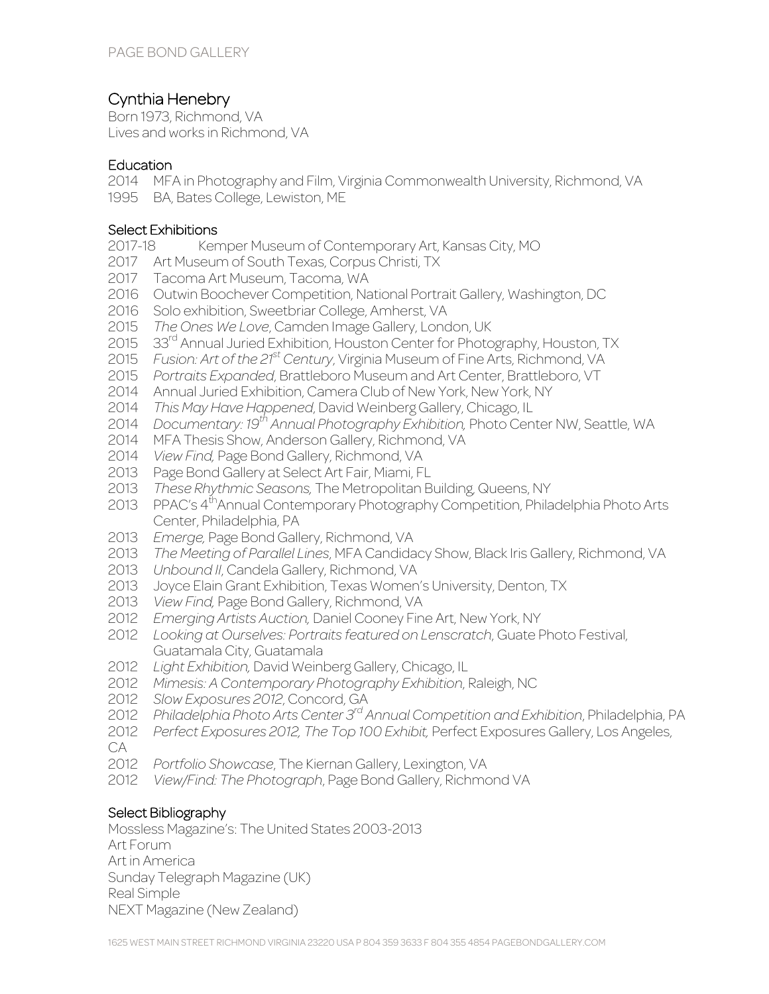# Cynthia Henebry

Born 1973, Richmond, VA Lives and works in Richmond, VA

### **Education**

2014 MFA in Photography and Film, Virginia Commonwealth University, Richmond, VA

1995 BA, Bates College, Lewiston, ME

## Select Exhibitions

- 2017-18 Kemper Museum of Contemporary Art, Kansas City, MO
- 2017 Art Museum of South Texas, Corpus Christi, TX
- 2017 Tacoma Art Museum, Tacoma, WA
- 2016 Outwin Boochever Competition, National Portrait Gallery, Washington, DC
- 2016 Solo exhibition, Sweetbriar College, Amherst, VA
- 2015 *The Ones We Love*, Camden Image Gallery, London, UK
- 2015 33<sup>rd</sup> Annual Juried Exhibition, Houston Center for Photography, Houston, TX
- 2015 *Fusion: Art of the 21st Century*, Virginia Museum of Fine Arts, Richmond, VA
- 2015 *Portraits Expanded*, Brattleboro Museum and Art Center, Brattleboro, VT
- 2014 Annual Juried Exhibition, Camera Club of New York, New York, NY
- 2014 *This May Have Happened*, David Weinberg Gallery, Chicago, IL
- 2014 *Documentary: 19th Annual Photography Exhibition,* Photo Center NW, Seattle, WA
- 2014 MFA Thesis Show, Anderson Gallery, Richmond, VA
- 2014 *View Find,* Page Bond Gallery, Richmond, VA
- 2013 Page Bond Gallery at Select Art Fair, Miami, FL
- 2013 *These Rhythmic Seasons,* The Metropolitan Building, Queens, NY
- 2013 PPAC's 4<sup>th</sup>Annual Contemporary Photography Competition, Philadelphia Photo Arts Center, Philadelphia, PA
- 2013 *Emerge,* Page Bond Gallery, Richmond, VA
- 2013 *The Meeting of Parallel Lines*, MFA Candidacy Show, Black Iris Gallery, Richmond, VA
- 2013 *Unbound II*, Candela Gallery, Richmond, VA
- 2013 Joyce Elain Grant Exhibition, Texas Women's University, Denton, TX
- 2013 *View Find,* Page Bond Gallery, Richmond, VA
- 2012 *Emerging Artists Auction,* Daniel Cooney Fine Art, New York, NY
- 2012 *Looking at Ourselves: Portraits featured on Lenscratch*, Guate Photo Festival, Guatamala City, Guatamala
- 2012 *Light Exhibition,* David Weinberg Gallery, Chicago, IL
- 2012 *Mimesis: A Contemporary Photography Exhibition*, Raleigh, NC
- 2012 *Slow Exposures 2012*, Concord, GA
- 2012 *Philadelphia Photo Arts Center 3rd Annual Competition and Exhibition*, Philadelphia, PA
- 2012 *Perfect Exposures 2012, The Top 100 Exhibit,* Perfect Exposures Gallery, Los Angeles,
- CA
- 2012 *Portfolio Showcase*, The Kiernan Gallery, Lexington, VA
- 2012 *View/Find: The Photograph*, Page Bond Gallery, Richmond VA

## Select Bibliography

Mossless Magazine's: The United States 2003-2013 Art Forum Art in America Sunday Telegraph Magazine (UK) Real Simple NEXT Magazine (New Zealand)